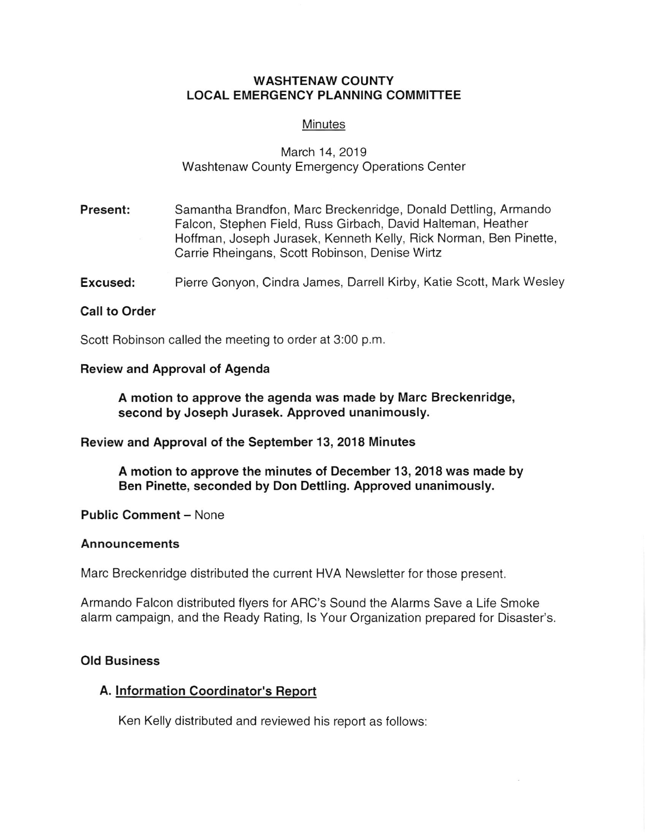### WASHTENAW COUNTY LOCAL EMERGENCY PLANNING COMMITTEE

#### **Minutes**

# March 14,2019 Washtenaw County Emergency Operations Center

- Present: Samantha Brandfon, Marc Breckenridge, Donald Dettling, Armando Falcon, Stephen Field, Russ Girbach, David Halteman, Heather Hoffman, Joseph Jurasek, Kenneth Kelly, Rick Norman, Ben Pinette, Carrie Rheingans, Scott Robinson, Denise Wirtz
- **Excused:** Pierre Gonyon, Cindra James, Darrell Kirby, Katie Scott, Mark Wesley

#### Call to Order

Scott Robinson called the meeting to order at 3:00 p.m.

## Review and Approval of Agenda

A motion to approve the agenda was made by Marc Breckenridge, second by Joseph Jurasek. Approved unanimously.

Beview and Approval of the September 13, 2018 Minutes

A motion to approve the minutes of December 13, 2018 was made by Ben Pinette, seconded by Don Dettling. Approved unanimously.

Public Comment - None

#### **Announcements**

Marc Breckenridge distributed the current HVA Newsletter for those present.

Armando Falcon distributed flyers for ARC's Sound the Alarms Save a Life Smoke alarm campaign, and the Ready Rating, ls Your Organization prepared for Disaster's

### Old Business

## A. lnformalion Coordinator's Report

Ken Kelly distributed and reviewed his report as follows: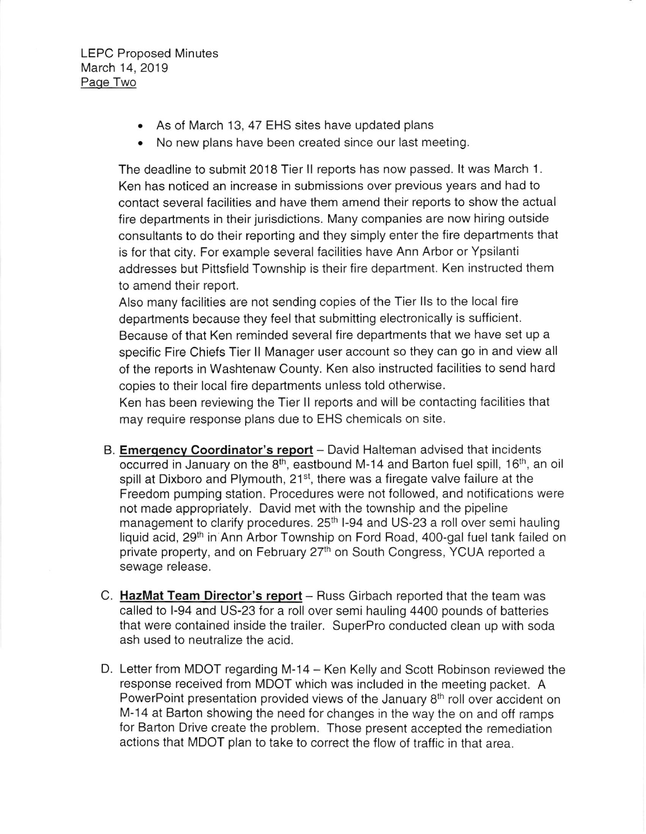- . As of March 13, 47 EHS sites have updated plans
- . No new plans have been created since our last meeting.

The deadline to submit 2018 Tier ll reports has now passed. lt was March 1. Ken has noticed an increase in submissions over previous years and had to contact several facilities and have them amend their reports to show the actual fire departments in their jurisdictions. Many companies are now hiring outside consultants to do their reporting and they simply enter the fire departments that is for that city. For example several facilities have Ann Arbor or Ypsilanti addresses but Pittsfield Township is their fire department. Ken instructed them to amend their report.

Also many facilities are not sending copies of the Tier IIs to the local fire departments because they feel that submitting electronically is sufficient. Because of that Ken reminded several fire departments that we have set up a specific Fire Chiefs Tier ll Manager user account so they can go in and view all of the reports in Washtenaw County. Ken also instructed facilities to send hard copies to their local fire departments unless told otherwise.

Ken has been reviewing the Tier ll reports and will be contacting facilities that may require response plans due to EHS chemicals on site.

- B. Emergency Coordinator's report David Halteman advised that incidents occurred in January on the  $8<sup>th</sup>$ , eastbound M-14 and Barton fuel spill, 16<sup>th</sup>, an oil spill at Dixboro and Plymouth, 21<sup>st</sup>, there was a firegate valve failure at the Freedom pumping station. Procedures were not followed, and notifications were not made appropriately. David met with the township and the pipeline management to clarify procedures. 25<sup>th</sup> I-94 and US-23 a roll over semi hauling liquid acid, 29<sup>th</sup> in Ann Arbor Township on Ford Road, 400-gal fuel tank failed on private property, and on February 27<sup>th</sup> on South Congress, YCUA reported a sewage release.
- C. HazMat Team Director's report Russ Girbach reported that the team was called to l-94 and US-23 for a roll over semi hauling 4400 pounds of batteries that were contained inside the trailer. SuperPro conducted clean up with soda ash used to neutralize the acid.
- D. Letter from MDOT regarding M-14 Ken Kelly and Scott Robinson reviewed the response received from MDOT which was included in the meeting packet. A PowerPoint presentation provided views of the January  $8<sup>th</sup>$  roll over accident on M-14 at Barton showing the need for changes in the way the on and off ramps for Barton Drive create the problem. Those present accepted the remediation actions that MDOT plan to take to correct the flow of traflic in that area.